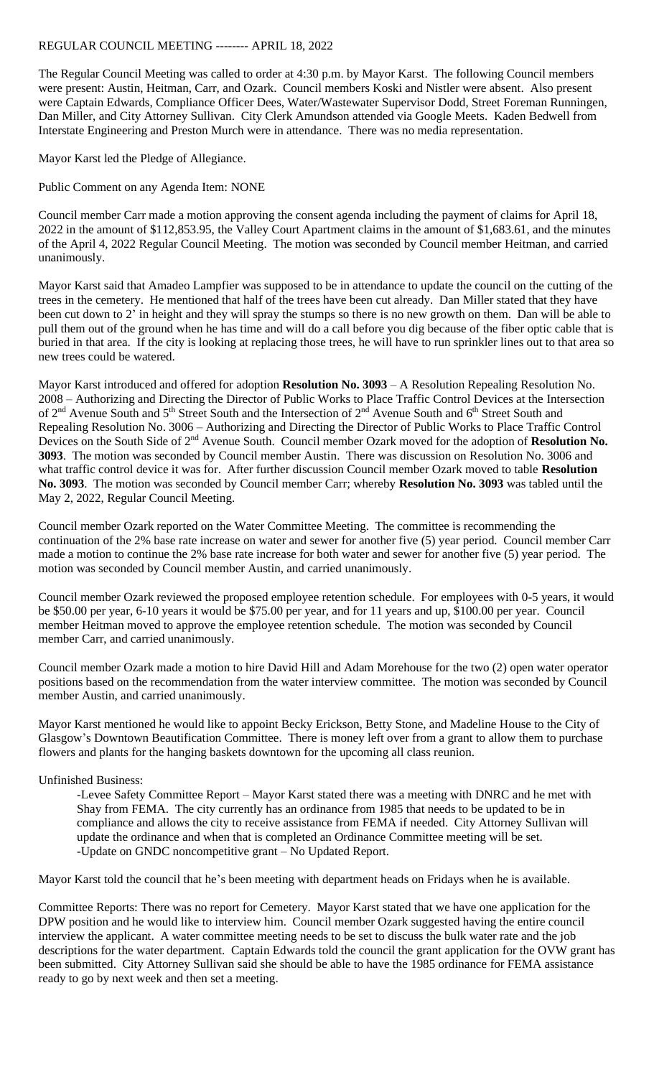## REGULAR COUNCIL MEETING -------- APRIL 18, 2022

The Regular Council Meeting was called to order at 4:30 p.m. by Mayor Karst. The following Council members were present: Austin, Heitman, Carr, and Ozark. Council members Koski and Nistler were absent. Also present were Captain Edwards, Compliance Officer Dees, Water/Wastewater Supervisor Dodd, Street Foreman Runningen, Dan Miller, and City Attorney Sullivan. City Clerk Amundson attended via Google Meets. Kaden Bedwell from Interstate Engineering and Preston Murch were in attendance. There was no media representation.

Mayor Karst led the Pledge of Allegiance.

Public Comment on any Agenda Item: NONE

Council member Carr made a motion approving the consent agenda including the payment of claims for April 18, 2022 in the amount of \$112,853.95, the Valley Court Apartment claims in the amount of \$1,683.61, and the minutes of the April 4, 2022 Regular Council Meeting. The motion was seconded by Council member Heitman, and carried unanimously.

Mayor Karst said that Amadeo Lampfier was supposed to be in attendance to update the council on the cutting of the trees in the cemetery. He mentioned that half of the trees have been cut already. Dan Miller stated that they have been cut down to 2' in height and they will spray the stumps so there is no new growth on them. Dan will be able to pull them out of the ground when he has time and will do a call before you dig because of the fiber optic cable that is buried in that area. If the city is looking at replacing those trees, he will have to run sprinkler lines out to that area so new trees could be watered.

Mayor Karst introduced and offered for adoption **Resolution No. 3093** – A Resolution Repealing Resolution No. 2008 – Authorizing and Directing the Director of Public Works to Place Traffic Control Devices at the Intersection of 2<sup>nd</sup> Avenue South and 5<sup>th</sup> Street South and the Intersection of 2<sup>nd</sup> Avenue South and 6<sup>th</sup> Street South and Repealing Resolution No. 3006 – Authorizing and Directing the Director of Public Works to Place Traffic Control Devices on the South Side of 2<sup>nd</sup> Avenue South. Council member Ozark moved for the adoption of Resolution No. **3093**. The motion was seconded by Council member Austin. There was discussion on Resolution No. 3006 and what traffic control device it was for. After further discussion Council member Ozark moved to table **Resolution No. 3093**. The motion was seconded by Council member Carr; whereby **Resolution No. 3093** was tabled until the May 2, 2022, Regular Council Meeting.

Council member Ozark reported on the Water Committee Meeting. The committee is recommending the continuation of the 2% base rate increase on water and sewer for another five (5) year period. Council member Carr made a motion to continue the 2% base rate increase for both water and sewer for another five (5) year period. The motion was seconded by Council member Austin, and carried unanimously.

Council member Ozark reviewed the proposed employee retention schedule. For employees with 0-5 years, it would be \$50.00 per year, 6-10 years it would be \$75.00 per year, and for 11 years and up, \$100.00 per year. Council member Heitman moved to approve the employee retention schedule. The motion was seconded by Council member Carr, and carried unanimously.

Council member Ozark made a motion to hire David Hill and Adam Morehouse for the two (2) open water operator positions based on the recommendation from the water interview committee. The motion was seconded by Council member Austin, and carried unanimously.

Mayor Karst mentioned he would like to appoint Becky Erickson, Betty Stone, and Madeline House to the City of Glasgow's Downtown Beautification Committee. There is money left over from a grant to allow them to purchase flowers and plants for the hanging baskets downtown for the upcoming all class reunion.

## Unfinished Business:

-Levee Safety Committee Report – Mayor Karst stated there was a meeting with DNRC and he met with Shay from FEMA. The city currently has an ordinance from 1985 that needs to be updated to be in compliance and allows the city to receive assistance from FEMA if needed. City Attorney Sullivan will update the ordinance and when that is completed an Ordinance Committee meeting will be set. -Update on GNDC noncompetitive grant – No Updated Report.

Mayor Karst told the council that he's been meeting with department heads on Fridays when he is available.

Committee Reports: There was no report for Cemetery. Mayor Karst stated that we have one application for the DPW position and he would like to interview him. Council member Ozark suggested having the entire council interview the applicant. A water committee meeting needs to be set to discuss the bulk water rate and the job descriptions for the water department. Captain Edwards told the council the grant application for the OVW grant has been submitted. City Attorney Sullivan said she should be able to have the 1985 ordinance for FEMA assistance ready to go by next week and then set a meeting.